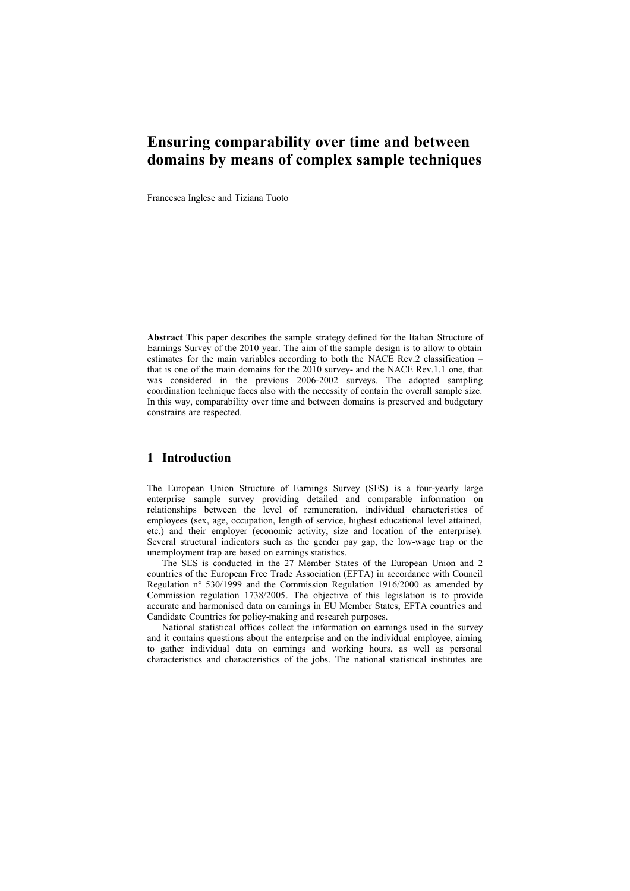# **Ensuring comparability over time and between domains by means of complex sample techniques**

Francesca Inglese and Tiziana Tuoto

**Abstract** This paper describes the sample strategy defined for the Italian Structure of Earnings Survey of the 2010 year. The aim of the sample design is to allow to obtain estimates for the main variables according to both the NACE Rev.2 classification – that is one of the main domains for the 2010 survey- and the NACE Rev.1.1 one, that was considered in the previous 2006-2002 surveys. The adopted sampling coordination technique faces also with the necessity of contain the overall sample size. In this way, comparability over time and between domains is preserved and budgetary constrains are respected.

## **1 Introduction**

The European Union Structure of Earnings Survey (SES) is a four-yearly large enterprise sample survey providing detailed and comparable information on relationships between the level of remuneration, individual characteristics of employees (sex, age, occupation, length of service, highest educational level attained, etc.) and their employer (economic activity, size and location of the enterprise). Several structural indicators such as the gender pay gap, the low-wage trap or the unemployment trap are based on earnings statistics.

The SES is conducted in the 27 Member States of the European Union and 2 countries of the European Free Trade Association (EFTA) in accordance with Council Regulation n° 530/1999 and the Commission Regulation 1916/2000 as amended by Commission regulation 1738/2005. The objective of this legislation is to provide accurate and harmonised data on earnings in EU Member States, EFTA countries and Candidate Countries for policy-making and research purposes.

National statistical offices collect the information on earnings used in the survey and it contains questions about the enterprise and on the individual employee, aiming to gather individual data on earnings and working hours, as well as personal characteristics and characteristics of the jobs. The national statistical institutes are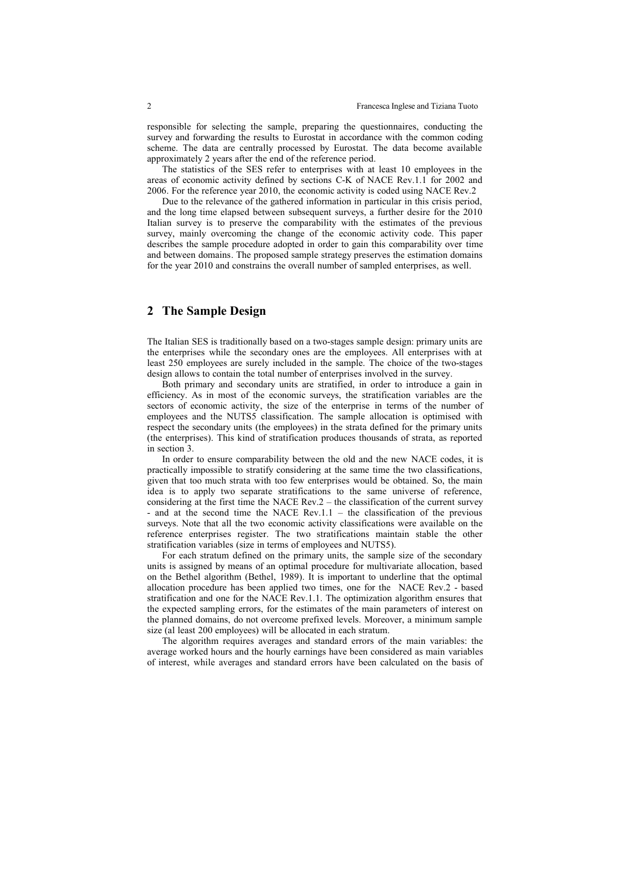responsible for selecting the sample, preparing the questionnaires, conducting the survey and forwarding the results to Eurostat in accordance with the common coding scheme. The data are centrally processed by Eurostat. The data become available approximately 2 years after the end of the reference period.

The statistics of the SES refer to enterprises with at least 10 employees in the areas of economic activity defined by sections C-K of NACE Rev.1.1 for 2002 and 2006. For the reference year 2010, the economic activity is coded using NACE Rev.2

Due to the relevance of the gathered information in particular in this crisis period, and the long time elapsed between subsequent surveys, a further desire for the 2010 Italian survey is to preserve the comparability with the estimates of the previous survey, mainly overcoming the change of the economic activity code. This paper describes the sample procedure adopted in order to gain this comparability over time and between domains. The proposed sample strategy preserves the estimation domains for the year 2010 and constrains the overall number of sampled enterprises, as well.

#### **2 The Sample Design**

The Italian SES is traditionally based on a two-stages sample design: primary units are the enterprises while the secondary ones are the employees. All enterprises with at least 250 employees are surely included in the sample. The choice of the two-stages design allows to contain the total number of enterprises involved in the survey.

Both primary and secondary units are stratified, in order to introduce a gain in efficiency. As in most of the economic surveys, the stratification variables are the sectors of economic activity, the size of the enterprise in terms of the number of employees and the NUTS5 classification. The sample allocation is optimised with respect the secondary units (the employees) in the strata defined for the primary units (the enterprises). This kind of stratification produces thousands of strata, as reported in section 3.

In order to ensure comparability between the old and the new NACE codes, it is practically impossible to stratify considering at the same time the two classifications, given that too much strata with too few enterprises would be obtained. So, the main idea is to apply two separate stratifications to the same universe of reference, considering at the first time the NACE Rev.2 – the classification of the current survey - and at the second time the NACE Rev.1.1 – the classification of the previous surveys. Note that all the two economic activity classifications were available on the reference enterprises register. The two stratifications maintain stable the other stratification variables (size in terms of employees and NUTS5).

For each stratum defined on the primary units, the sample size of the secondary units is assigned by means of an optimal procedure for multivariate allocation, based on the Bethel algorithm (Bethel, 1989). It is important to underline that the optimal allocation procedure has been applied two times, one for the NACE Rev.2 - based stratification and one for the NACE Rev.1.1. The optimization algorithm ensures that the expected sampling errors, for the estimates of the main parameters of interest on the planned domains, do not overcome prefixed levels. Moreover, a minimum sample size (al least 200 employees) will be allocated in each stratum.

The algorithm requires averages and standard errors of the main variables: the average worked hours and the hourly earnings have been considered as main variables of interest, while averages and standard errors have been calculated on the basis of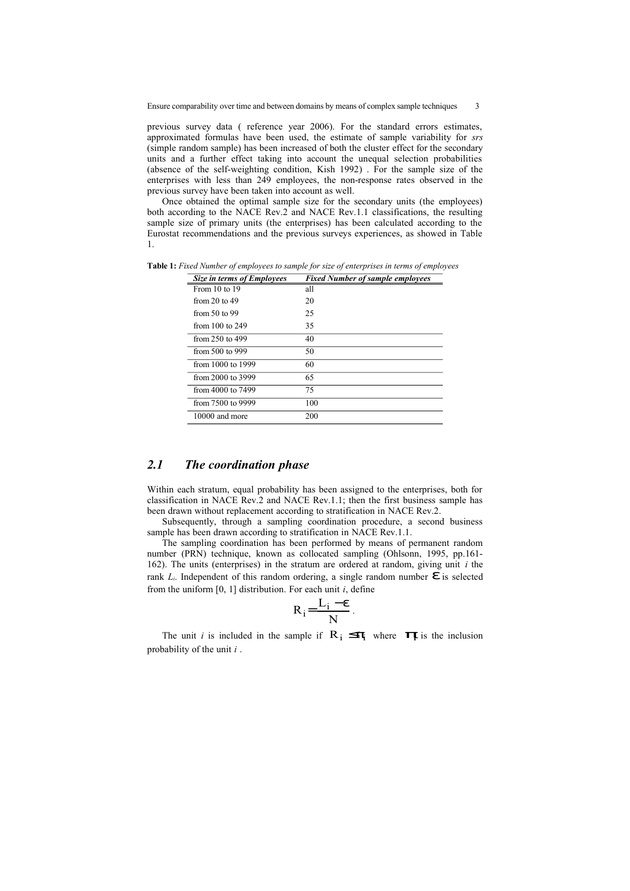previous survey data ( reference year 2006). For the standard errors estimates, approximated formulas have been used, the estimate of sample variability for *srs* (simple random sample) has been increased of both the cluster effect for the secondary units and a further effect taking into account the unequal selection probabilities (absence of the self-weighting condition, Kish 1992) . For the sample size of the enterprises with less than 249 employees, the non-response rates observed in the previous survey have been taken into account as well.

Once obtained the optimal sample size for the secondary units (the employees) both according to the NACE Rev.2 and NACE Rev.1.1 classifications, the resulting sample size of primary units (the enterprises) has been calculated according to the Eurostat recommendations and the previous surveys experiences, as showed in Table 1.

**Table 1:** *Fixed Number of employees to sample for size of enterprises in terms of employees*

| <b>Size in terms of Employees</b> | <b>Fixed Number of sample employees</b> |
|-----------------------------------|-----------------------------------------|
| From 10 to 19                     | all                                     |
| from 20 to 49                     | 20                                      |
| from $50$ to 99                   | 25                                      |
| from $100$ to $249$               | 35                                      |
| from $250$ to $499$               | 40                                      |
| from 500 to 999                   | 50                                      |
| from 1000 to 1999                 | 60                                      |
| from 2000 to 3999                 | 65                                      |
| from 4000 to 7499                 | 75                                      |
| from 7500 to 9999                 | 100                                     |
| 10000 and more                    | 200                                     |

### *2.1 The coordination phase*

Within each stratum, equal probability has been assigned to the enterprises, both for classification in NACE Rev.2 and NACE Rev.1.1; then the first business sample has been drawn without replacement according to stratification in NACE Rev.2.

Subsequently, through a sampling coordination procedure, a second business sample has been drawn according to stratification in NACE Rev.1.1.

The sampling coordination has been performed by means of permanent random number (PRN) technique, known as collocated sampling (Ohlsonn, 1995, pp.161- 162). The units (enterprises) in the stratum are ordered at random, giving unit *i* the rank  $L_i$ . Independent of this random ordering, a single random number  $\epsilon$  is selected from the uniform [0, 1] distribution. For each unit *i*, define

$$
R_i = \frac{L_i - \epsilon}{N}.
$$

The unit *i* is included in the sample if  $R_i \leq \pi$ <sub>i</sub> where  $\pi$ <sub>F</sub> is the inclusion probability of the unit *i* .